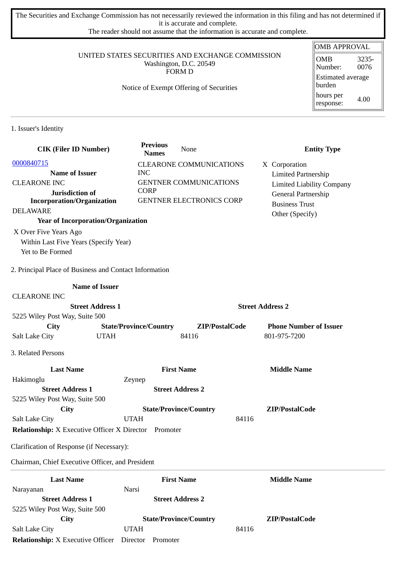The Securities and Exchange Commission has not necessarily reviewed the information in this filing and has not determined if it is accurate and complete.

The reader should not assume that the information is accurate and complete.

#### UNITED STATES SECURITIES AND EXCHANGE COMMISSION Washington, D.C. 20549 FORM D

### Notice of Exempt Offering of Securities

#### OMB APPROVAL OMB Number: 3235- 0076 Estimated average burden hours per response: 4.00

1. Issuer's Identity

| <b>CIK (Filer ID Number)</b>                                 | <b>Previous</b><br><b>Names</b> | None                            |                | <b>Entity Type</b>               |
|--------------------------------------------------------------|---------------------------------|---------------------------------|----------------|----------------------------------|
| 0000840715                                                   |                                 | <b>CLEARONE COMMUNICATIONS</b>  |                | X Corporation                    |
| <b>Name of Issuer</b>                                        | <b>INC</b>                      |                                 |                | <b>Limited Partnership</b>       |
| <b>CLEARONE INC</b>                                          |                                 | <b>GENTNER COMMUNICATIONS</b>   |                | <b>Limited Liability Company</b> |
| Jurisdiction of                                              | <b>CORP</b>                     |                                 |                | General Partnership              |
| <b>Incorporation/Organization</b>                            |                                 | <b>GENTNER ELECTRONICS CORP</b> |                | <b>Business Trust</b>            |
| <b>DELAWARE</b>                                              |                                 |                                 |                | Other (Specify)                  |
| <b>Year of Incorporation/Organization</b>                    |                                 |                                 |                |                                  |
| X Over Five Years Ago                                        |                                 |                                 |                |                                  |
| Within Last Five Years (Specify Year)                        |                                 |                                 |                |                                  |
| Yet to Be Formed                                             |                                 |                                 |                |                                  |
|                                                              |                                 |                                 |                |                                  |
| 2. Principal Place of Business and Contact Information       |                                 |                                 |                |                                  |
| <b>Name of Issuer</b>                                        |                                 |                                 |                |                                  |
| <b>CLEARONE INC</b>                                          |                                 |                                 |                |                                  |
| <b>Street Address 1</b>                                      |                                 |                                 |                | <b>Street Address 2</b>          |
| 5225 Wiley Post Way, Suite 500                               |                                 |                                 |                |                                  |
| <b>City</b>                                                  | <b>State/Province/Country</b>   |                                 | ZIP/PostalCode | <b>Phone Number of Issuer</b>    |
| <b>Salt Lake City</b><br><b>UTAH</b>                         |                                 | 84116                           |                | 801-975-7200                     |
| 3. Related Persons                                           |                                 |                                 |                |                                  |
| <b>Last Name</b>                                             |                                 | <b>First Name</b>               |                | <b>Middle Name</b>               |
| Hakimoglu                                                    | Zeynep                          |                                 |                |                                  |
| <b>Street Address 1</b>                                      |                                 | <b>Street Address 2</b>         |                |                                  |
| 5225 Wiley Post Way, Suite 500                               |                                 |                                 |                |                                  |
| City                                                         |                                 | <b>State/Province/Country</b>   |                | ZIP/PostalCode                   |
| Salt Lake City                                               | <b>UTAH</b>                     |                                 | 84116          |                                  |
| <b>Relationship:</b> X Executive Officer X Director Promoter |                                 |                                 |                |                                  |
| Clarification of Response (if Necessary):                    |                                 |                                 |                |                                  |
| Chairman, Chief Executive Officer, and President             |                                 |                                 |                |                                  |
| <b>Last Name</b>                                             |                                 | <b>First Name</b>               |                | <b>Middle Name</b>               |
| Narayanan                                                    | Narsi                           |                                 |                |                                  |
| <b>Street Address 1</b>                                      |                                 | <b>Street Address 2</b>         |                |                                  |
| 5225 Wiley Post Way, Suite 500                               |                                 |                                 |                |                                  |
| <b>City</b>                                                  |                                 | <b>State/Province/Country</b>   |                | ZIP/PostalCode                   |
| <b>Salt Lake City</b>                                        | <b>UTAH</b>                     |                                 | 84116          |                                  |
| <b>Relationship:</b> X Executive Officer                     | Director                        | Promoter                        |                |                                  |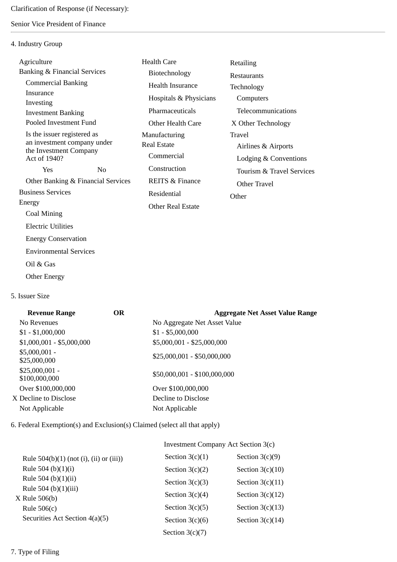## Senior Vice President of Finance

### 4. Industry Group

| Agriculture                                           | Health Care                | Retailing                 |  |
|-------------------------------------------------------|----------------------------|---------------------------|--|
| <b>Banking &amp; Financial Services</b>               | Biotechnology              | <b>Restaurants</b>        |  |
| <b>Commercial Banking</b>                             | <b>Health Insurance</b>    | Technology                |  |
| Insurance<br>Investing                                | Hospitals & Physicians     | Computers                 |  |
| <b>Investment Banking</b>                             | Pharmaceuticals            | Telecommunications        |  |
| Pooled Investment Fund                                | Other Health Care          | X Other Technology        |  |
| Is the issuer registered as                           | Manufacturing              | Travel                    |  |
| an investment company under<br>the Investment Company | <b>Real Estate</b>         | Airlines & Airports       |  |
| Act of 1940?                                          | Commercial                 | Lodging & Conventions     |  |
| Yes<br>N <sub>0</sub>                                 | Construction               | Tourism & Travel Services |  |
| Other Banking & Financial Services                    | <b>REITS &amp; Finance</b> | Other Travel              |  |
| <b>Business Services</b>                              | Residential                | Other                     |  |
| Energy                                                | Other Real Estate          |                           |  |
| Coal Mining                                           |                            |                           |  |
| <b>Electric Utilities</b>                             |                            |                           |  |

Energy Conservation

Environmental Services

- Oil & Gas
- Other Energy

# 5. Issuer Size

| <b>Revenue Range</b>             | <b>OR</b> | <b>Aggregate Net Asset Value Range</b> |
|----------------------------------|-----------|----------------------------------------|
| No Revenues                      |           | No Aggregate Net Asset Value           |
| $$1 - $1,000,000$                |           | $$1 - $5,000,000$                      |
| $$1,000,001 - $5,000,000$        |           | \$5,000,001 - \$25,000,000             |
| $$5,000,001 -$<br>\$25,000,000   |           | $$25,000,001 - $50,000,000$            |
| $$25,000,001 -$<br>\$100,000,000 |           | \$50,000,001 - \$100,000,000           |
| Over \$100,000,000               |           | Over \$100,000,000                     |
| X Decline to Disclose            |           | Decline to Disclose                    |
| Not Applicable                   |           | Not Applicable                         |

6. Federal Exemption(s) and Exclusion(s) Claimed (select all that apply)

# Investment Company Act Section 3(c)

| Rule $504(b)(1)$ (not (i), (ii) or (iii)) | Section $3(c)(1)$ | Section $3(c)(9)$  |
|-------------------------------------------|-------------------|--------------------|
| Rule 504 (b) $(1)(i)$                     | Section $3(c)(2)$ | Section $3(c)(10)$ |
| Rule 504 (b) $(1)(ii)$                    | Section $3(c)(3)$ | Section $3(c)(11)$ |
| Rule 504 (b) $(1)(iii)$                   | Section $3(c)(4)$ | Section $3(c)(12)$ |
| X Rule 506(b)<br>Rule $506(c)$            | Section $3(c)(5)$ | Section $3(c)(13)$ |
| Securities Act Section 4(a)(5)            | Section $3(c)(6)$ | Section $3(c)(14)$ |
|                                           | Section $3(c)(7)$ |                    |
|                                           |                   |                    |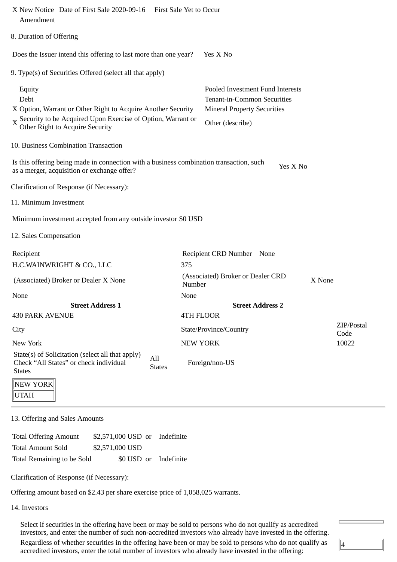| Yes X No                                                                                                                         |                                                                                                                                                                                                                                                                                                                                                                                                                                                                                                                                                                     |
|----------------------------------------------------------------------------------------------------------------------------------|---------------------------------------------------------------------------------------------------------------------------------------------------------------------------------------------------------------------------------------------------------------------------------------------------------------------------------------------------------------------------------------------------------------------------------------------------------------------------------------------------------------------------------------------------------------------|
|                                                                                                                                  |                                                                                                                                                                                                                                                                                                                                                                                                                                                                                                                                                                     |
| Pooled Investment Fund Interests<br><b>Tenant-in-Common Securities</b><br><b>Mineral Property Securities</b><br>Other (describe) |                                                                                                                                                                                                                                                                                                                                                                                                                                                                                                                                                                     |
|                                                                                                                                  |                                                                                                                                                                                                                                                                                                                                                                                                                                                                                                                                                                     |
| Yes X No                                                                                                                         |                                                                                                                                                                                                                                                                                                                                                                                                                                                                                                                                                                     |
|                                                                                                                                  |                                                                                                                                                                                                                                                                                                                                                                                                                                                                                                                                                                     |
|                                                                                                                                  |                                                                                                                                                                                                                                                                                                                                                                                                                                                                                                                                                                     |
|                                                                                                                                  |                                                                                                                                                                                                                                                                                                                                                                                                                                                                                                                                                                     |
|                                                                                                                                  |                                                                                                                                                                                                                                                                                                                                                                                                                                                                                                                                                                     |
|                                                                                                                                  |                                                                                                                                                                                                                                                                                                                                                                                                                                                                                                                                                                     |
|                                                                                                                                  |                                                                                                                                                                                                                                                                                                                                                                                                                                                                                                                                                                     |
| X None                                                                                                                           |                                                                                                                                                                                                                                                                                                                                                                                                                                                                                                                                                                     |
|                                                                                                                                  |                                                                                                                                                                                                                                                                                                                                                                                                                                                                                                                                                                     |
| <b>Street Address 2</b>                                                                                                          |                                                                                                                                                                                                                                                                                                                                                                                                                                                                                                                                                                     |
|                                                                                                                                  |                                                                                                                                                                                                                                                                                                                                                                                                                                                                                                                                                                     |
| Code                                                                                                                             |                                                                                                                                                                                                                                                                                                                                                                                                                                                                                                                                                                     |
| 10022                                                                                                                            |                                                                                                                                                                                                                                                                                                                                                                                                                                                                                                                                                                     |
|                                                                                                                                  |                                                                                                                                                                                                                                                                                                                                                                                                                                                                                                                                                                     |
|                                                                                                                                  | Does the Issuer intend this offering to last more than one year?<br>X Option, Warrant or Other Right to Acquire Another Security<br>$X \cong X$ Security to be Acquired Upon Exercise of Option, Warrant or<br>Is this offering being made in connection with a business combination transaction, such<br>Minimum investment accepted from any outside investor \$0 USD<br>Recipient CRD Number None<br>375<br>(Associated) Broker or Dealer CRD<br>Number<br>None<br><b>4TH FLOOR</b><br>ZIP/Postal<br>State/Province/Country<br><b>NEW YORK</b><br>Foreign/non-US |

13. Offering and Sales Amounts

Total Offering Amount \$2,571,000 USD or Indefinite Total Amount Sold \$2,571,000 USD Total Remaining to be Sold \$0 USD or Indefinite

Clarification of Response (if Necessary):

Offering amount based on \$2.43 per share exercise price of 1,058,025 warrants.

14. Investors

UTAH

Select if securities in the offering have been or may be sold to persons who do not qualify as accredited investors, and enter the number of such non-accredited investors who already have invested in the offering. Regardless of whether securities in the offering have been or may be sold to persons who do not qualify as accredited investors, enter the total number of investors who already have invested in the offering:

 $\sqrt{4}$